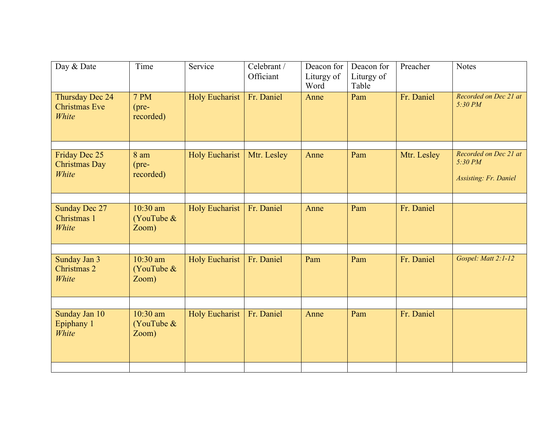| Time                                | Service               | Celebrant /<br>Officiant | Deacon for<br>Liturgy of<br>Word | Deacon for<br>Liturgy of<br>Table | Preacher    | <b>Notes</b>                                                     |
|-------------------------------------|-----------------------|--------------------------|----------------------------------|-----------------------------------|-------------|------------------------------------------------------------------|
| 7 PM<br>$(pre-$<br>recorded)        | <b>Holy Eucharist</b> | Fr. Daniel               | Anne                             | Pam                               | Fr. Daniel  | Recorded on Dec 21 at<br>5:30 PM                                 |
| 8 am<br>$(pre-$<br>recorded)        | <b>Holy Eucharist</b> | Mtr. Lesley              | Anne                             | Pam                               | Mtr. Lesley | Recorded on Dec 21 at<br>5:30 PM<br><b>Assisting: Fr. Daniel</b> |
| $10:30$ am<br>(YouTube $&$<br>Zoom) | <b>Holy Eucharist</b> | Fr. Daniel               | Anne                             | Pam                               | Fr. Daniel  |                                                                  |
| $10:30$ am<br>(YouTube $&$<br>Zoom) | <b>Holy Eucharist</b> | Fr. Daniel               | Pam                              | Pam                               | Fr. Daniel  | Gospel: Matt 2:1-12                                              |
| $10:30$ am<br>(YouTube $&$<br>Zoom) | <b>Holy Eucharist</b> | Fr. Daniel               | Anne                             | Pam                               | Fr. Daniel  |                                                                  |
|                                     |                       |                          |                                  |                                   |             |                                                                  |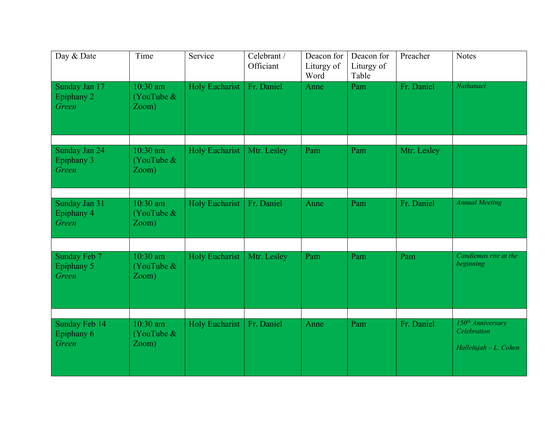| Day & Date                           | Time                                | Service               | Celebrant /<br>Officiant | Deacon for<br>Liturgy of<br>Word | Deacon for<br>Liturgy of<br>Table | Preacher    | <b>Notes</b>                                                          |
|--------------------------------------|-------------------------------------|-----------------------|--------------------------|----------------------------------|-----------------------------------|-------------|-----------------------------------------------------------------------|
| Sunday Jan 17<br>Epiphany 2<br>Green | 10:30 am<br>(YouTube $&$<br>Zoom)   | Holy Eucharist        | Fr. Daniel               | Anne                             | Pam                               | Fr. Daniel  | Nathanael                                                             |
| Sunday Jan 24<br>Epiphany 3<br>Green | $10:30$ am<br>(YouTube &<br>Zoom)   | Holy Eucharist        | Mtr. Lesley              | Pam                              | Pam                               | Mtr. Lesley |                                                                       |
| Sunday Jan 31<br>Epiphany 4<br>Green | $10:30$ am<br>(YouTube &<br>Zoom)   | <b>Holy Eucharist</b> | Fr. Daniel               | Anne                             | Pam                               | Fr. Daniel  | <b>Annual Meeting</b>                                                 |
| Sunday Feb 7<br>Epiphany 5<br>Green  | 10:30 am<br>(YouTube $&$<br>Zoom)   | <b>Holy Eucharist</b> | Mtr. Lesley              | Pam                              | Pam                               | Pam         | Candlemas rite at the<br>beginning                                    |
| Sunday Feb 14<br>Epiphany 6<br>Green | $10:30$ am<br>(YouTube $&$<br>Zoom) | <b>Holy Eucharist</b> | Fr. Daniel               | Anne                             | Pam                               | Fr. Daniel  | 150 <sup>th</sup> Anniversary<br>Celebration<br>$Hallelujah-L. Cohen$ |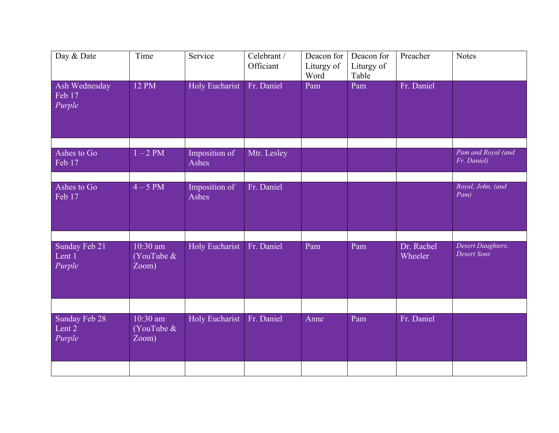| Day & Date                                            | Time                              | Service                | Celebrant /<br>Officiant | Deacon for<br>Liturgy of<br>Word | Deacon for<br>Liturgy of<br>Table | Preacher              | <b>Notes</b>                     |
|-------------------------------------------------------|-----------------------------------|------------------------|--------------------------|----------------------------------|-----------------------------------|-----------------------|----------------------------------|
| Ash Wednesday<br>$\overline{\text{Feb}}$ 17<br>Purple | 12 PM                             | Holy Eucharist         | Fr. Daniel               | Pam                              | Pam                               | Fr. Daniel            |                                  |
| Ashes to Go                                           | $1-2$ PM                          | Imposition of          | Mtr. Lesley              |                                  |                                   |                       | Pam and Royal (and               |
| Feb 17                                                |                                   | Ashes                  |                          |                                  |                                   |                       | Fr. Daniel)                      |
| Ashes to Go<br>Feb 17                                 | $4-5$ PM                          | Imposition of<br>Ashes | Fr. Daniel               |                                  |                                   |                       | Royal, John, (and<br>Pam)        |
| Sunday Feb 21<br>Lent 1<br>Purple                     | 10:30 am<br>(YouTube &<br>Zoom)   | <b>Holy Eucharist</b>  | Fr. Daniel               | Pam                              | Pam                               | Dr. Rachel<br>Wheeler | Desert Daughters,<br>Desert Sons |
|                                                       |                                   |                        |                          |                                  |                                   |                       |                                  |
| Sunday Feb 28<br>Lent 2<br>Purple                     | $10:30$ am<br>(YouTube &<br>Zoom) | Holy Eucharist         | Fr. Daniel               | Anne                             | Pam                               | Fr. Daniel            |                                  |
|                                                       |                                   |                        |                          |                                  |                                   |                       |                                  |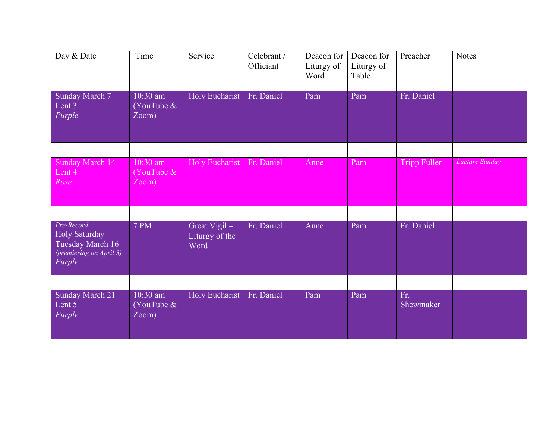| Day & Date                                                                           | Time                                | Service                                | Celebrant /<br>Officiant | Deacon for<br>Liturgy of<br>Word | Deacon for<br>Liturgy of<br>Table | Preacher         | <b>Notes</b>   |
|--------------------------------------------------------------------------------------|-------------------------------------|----------------------------------------|--------------------------|----------------------------------|-----------------------------------|------------------|----------------|
| Sunday March 7<br>Lent 3<br>Purple                                                   | $10:30$ am<br>(YouTube $&$<br>Zoom) | Holy Eucharist                         | Fr. Daniel               | Pam                              | Pam                               | Fr. Daniel       |                |
| Sunday March 14<br>Lent 4<br>Rose                                                    | 10:30 am<br>(YouTube $&$<br>Zoom)   | <b>Holy Eucharist</b>                  | Fr. Daniel               | Anne                             | Pam                               | Tripp Fuller     | Laetare Sunday |
| Pre-Record<br>Holy Saturday<br>Tuesday March 16<br>(premiering on April 3)<br>Purple | <b>7 PM</b>                         | Great Vigil-<br>Liturgy of the<br>Word | Fr. Daniel               | Anne                             | Pam                               | Fr. Daniel       |                |
| Sunday March 21<br>Lent 5<br>Purple                                                  | 10:30 am<br>(YouTube $&$<br>Zoom)   | Holy Eucharist                         | Fr. Daniel               | Pam                              | Pam                               | Fr.<br>Shewmaker |                |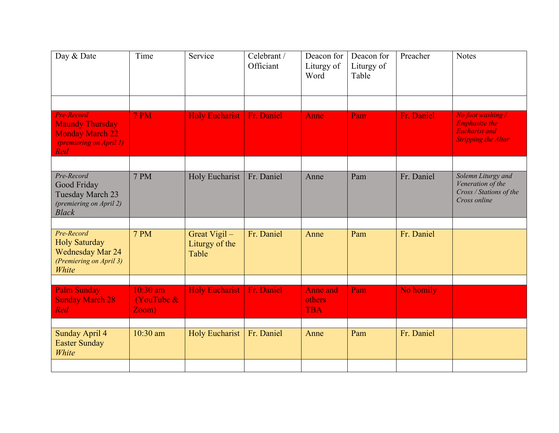| Time                               | Service                                 | Celebrant /<br>Officiant | Deacon for<br>Liturgy of<br>Word        | Deacon for<br>Liturgy of<br>Table | Preacher   | <b>Notes</b>                                                                                    |
|------------------------------------|-----------------------------------------|--------------------------|-----------------------------------------|-----------------------------------|------------|-------------------------------------------------------------------------------------------------|
| 7 PM                               | <b>Holy Eucharist</b>                   | Fr. Daniel               | Anne                                    | Pam                               | Fr. Daniel | No foot washing /<br><b>Emphasize the</b><br><b>Eucharist and</b><br><b>Stripping the Altar</b> |
| <b>7 PM</b>                        | <b>Holy Eucharist</b>                   | Fr. Daniel               | Anne                                    | Pam                               | Fr. Daniel | Solemn Liturgy and<br>Veneration of the<br>Cross / Stations of the<br>Cross online              |
| <b>7 PM</b>                        | Great Vigil-<br>Liturgy of the<br>Table | Fr. Daniel               | Anne                                    | Pam                               | Fr. Daniel |                                                                                                 |
| 10:30 am<br>(YouTube $\&$<br>Zoom) | <b>Holy Eucharist</b>                   | Fr. Daniel               | <b>Anne</b> and<br>others<br><b>TBA</b> | Pam                               | No homily  |                                                                                                 |
| 10:30 am                           | <b>Holy Eucharist</b>                   | Fr. Daniel               | Anne                                    | Pam                               | Fr. Daniel |                                                                                                 |
|                                    |                                         |                          |                                         |                                   |            |                                                                                                 |